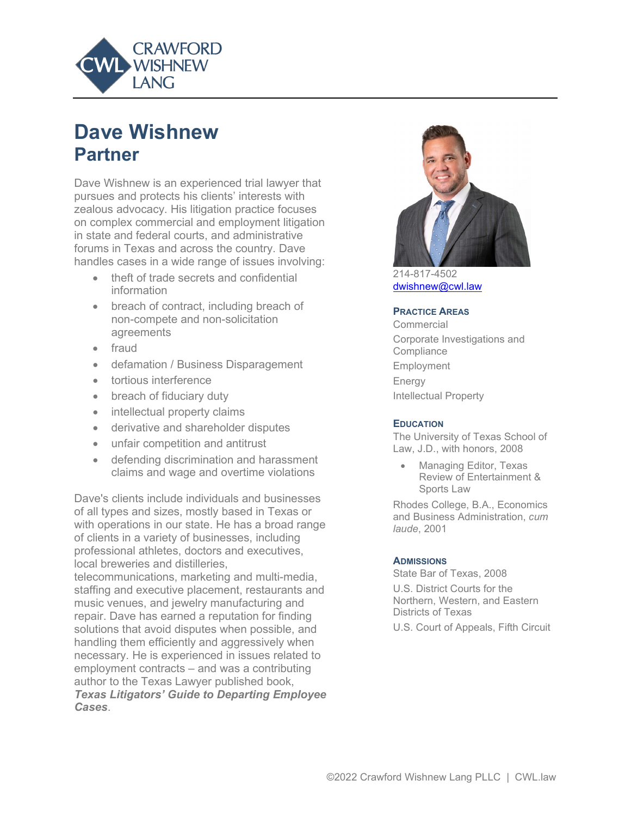

# **Dave Wishnew Partner**

Dave Wishnew is an experienced trial lawyer that pursues and protects his clients' interests with zealous advocacy. His litigation practice focuses on complex commercial and employment litigation in state and federal courts, and administrative forums in Texas and across the country. Dave handles cases in a wide range of issues involving:

- theft of trade secrets and confidential information
- breach of contract, including breach of non-compete and non-solicitation agreements
- fraud
- defamation / Business Disparagement
- tortious interference
- breach of fiduciary duty
- intellectual property claims
- derivative and shareholder disputes
- unfair competition and antitrust
- defending discrimination and harassment claims and wage and overtime violations

Dave's clients include individuals and businesses of all types and sizes, mostly based in Texas or with operations in our state. He has a broad range of clients in a variety of businesses, including professional athletes, doctors and executives, local breweries and distilleries,

telecommunications, marketing and multi-media, staffing and executive placement, restaurants and music venues, and jewelry manufacturing and repair. Dave has earned a reputation for finding solutions that avoid disputes when possible, and handling them efficiently and aggressively when necessary. He is experienced in issues related to employment contracts – and was a contributing author to the Texas Lawyer published book, *Texas Litigators' Guide to Departing Employee Cases*.



214-817-4502 [dwishnew@cwl.law](mailto:dwishnew@cwl.law)

#### **PRACTICE AREAS**

**Commercial** Corporate Investigations and **Compliance** Employment Energy Intellectual Property

#### **EDUCATION**

The University of Texas School of Law, J.D., with honors, 2008

• Managing Editor, Texas Review of Entertainment & Sports Law

Rhodes College, B.A., Economics and Business Administration, *cum laude*, 2001

#### **ADMISSIONS**

State Bar of Texas, 2008 U.S. District Courts for the Northern, Western, and Eastern Districts of Texas U.S. Court of Appeals, Fifth Circuit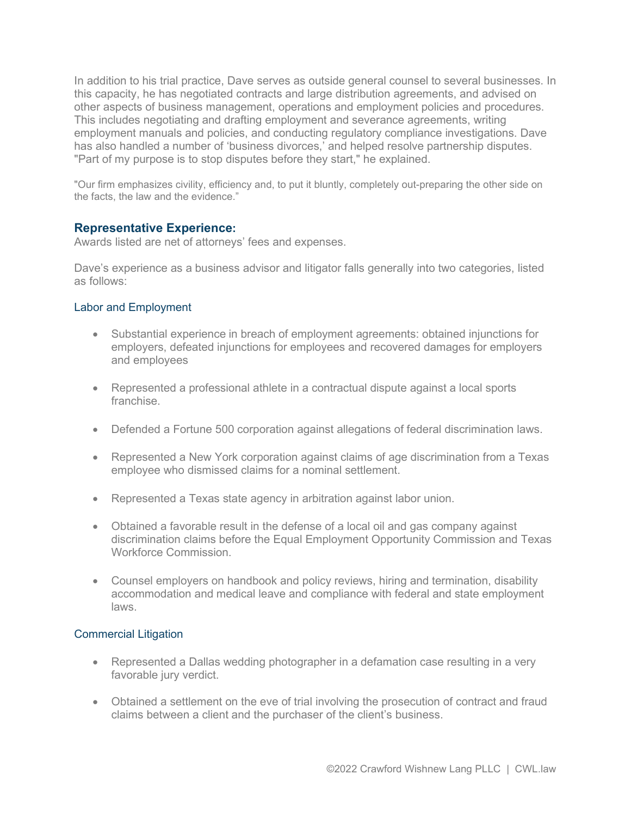In addition to his trial practice, Dave serves as outside general counsel to several businesses. In this capacity, he has negotiated contracts and large distribution agreements, and advised on other aspects of business management, operations and employment policies and procedures. This includes negotiating and drafting employment and severance agreements, writing employment manuals and policies, and conducting regulatory compliance investigations. Dave has also handled a number of 'business divorces,' and helped resolve partnership disputes. "Part of my purpose is to stop disputes before they start," he explained.

"Our firm emphasizes civility, efficiency and, to put it bluntly, completely out-preparing the other side on the facts, the law and the evidence."

#### **Representative Experience:**

Awards listed are net of attorneys' fees and expenses.

Dave's experience as a business advisor and litigator falls generally into two categories, listed as follows:

#### Labor and Employment

- Substantial experience in breach of employment agreements: obtained injunctions for employers, defeated injunctions for employees and recovered damages for employers and employees
- Represented a professional athlete in a contractual dispute against a local sports franchise.
- Defended a Fortune 500 corporation against allegations of federal discrimination laws.
- Represented a New York corporation against claims of age discrimination from a Texas employee who dismissed claims for a nominal settlement.
- Represented a Texas state agency in arbitration against labor union.
- Obtained a favorable result in the defense of a local oil and gas company against discrimination claims before the Equal Employment Opportunity Commission and Texas Workforce Commission.
- Counsel employers on handbook and policy reviews, hiring and termination, disability accommodation and medical leave and compliance with federal and state employment laws.

#### Commercial Litigation

- Represented a Dallas wedding photographer in a defamation case resulting in a very favorable jury verdict.
- Obtained a settlement on the eve of trial involving the prosecution of contract and fraud claims between a client and the purchaser of the client's business.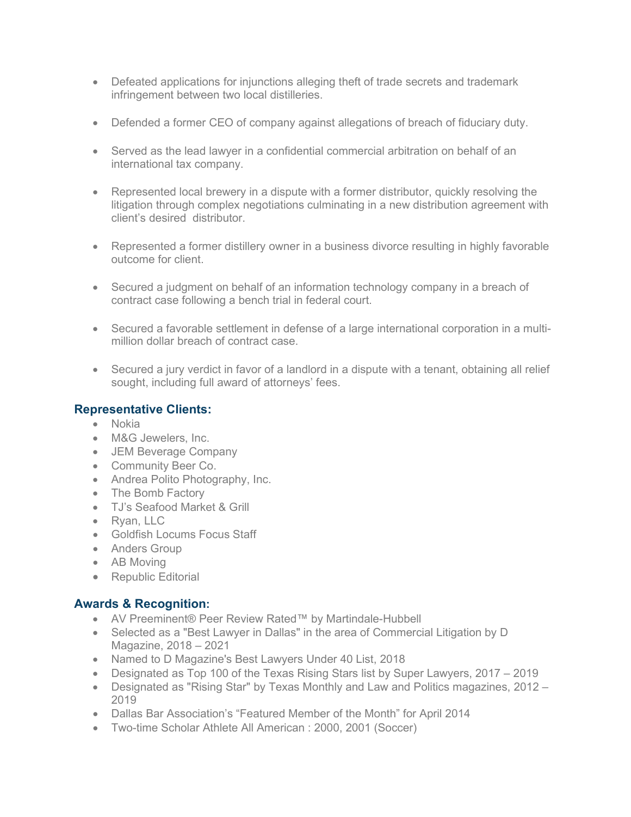- Defeated applications for injunctions alleging theft of trade secrets and trademark infringement between two local distilleries.
- Defended a former CEO of company against allegations of breach of fiduciary duty.
- Served as the lead lawyer in a confidential commercial arbitration on behalf of an international tax company.
- Represented local brewery in a dispute with a former distributor, quickly resolving the litigation through complex negotiations culminating in a new distribution agreement with client's desired distributor.
- Represented a former distillery owner in a business divorce resulting in highly favorable outcome for client.
- Secured a judgment on behalf of an information technology company in a breach of contract case following a bench trial in federal court.
- Secured a favorable settlement in defense of a large international corporation in a multimillion dollar breach of contract case.
- Secured a jury verdict in favor of a landlord in a dispute with a tenant, obtaining all relief sought, including full award of attorneys' fees.

## **Representative Clients:**

- Nokia
- M&G Jewelers, Inc.
- JEM Beverage Company
- Community Beer Co.
- Andrea Polito Photography, Inc.
- The Bomb Factory
- TJ's Seafood Market & Grill
- Ryan, LLC
- Goldfish Locums Focus Staff
- Anders Group
- AB Moving
- Republic Editorial

# **Awards & Recognition:**

- AV Preeminent® Peer Review Rated™ by Martindale-Hubbell
- Selected as a "Best Lawyer in Dallas" in the area of Commercial Litigation by D Magazine, 2018 – 2021
- Named to D Magazine's Best Lawyers Under 40 List, 2018
- Designated as Top 100 of the Texas Rising Stars list by Super Lawyers, 2017 2019
- Designated as "Rising Star" by Texas Monthly and Law and Politics magazines, 2012 2019
- Dallas Bar Association's "Featured Member of the Month" for April 2014
- Two-time Scholar Athlete All American : 2000, 2001 (Soccer)